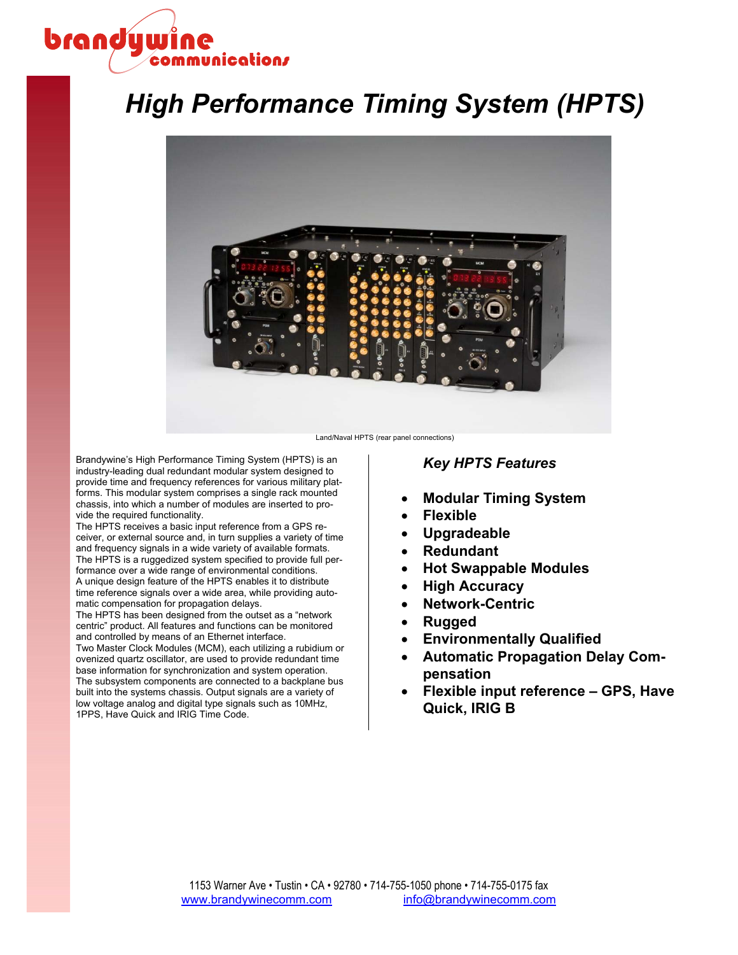# brandywine nmunication*r*

# *High Performance Timing System (HPTS)*



Land/Naval HPTS (rear panel connections)

Brandywine's High Performance Timing System (HPTS) is an industry-leading dual redundant modular system designed to provide time and frequency references for various military platforms. This modular system comprises a single rack mounted chassis, into which a number of modules are inserted to provide the required functionality.

The HPTS receives a basic input reference from a GPS receiver, or external source and, in turn supplies a variety of time and frequency signals in a wide variety of available formats. The HPTS is a ruggedized system specified to provide full performance over a wide range of environmental conditions. A unique design feature of the HPTS enables it to distribute time reference signals over a wide area, while providing auto-

matic compensation for propagation delays. The HPTS has been designed from the outset as a "network

centric" product. All features and functions can be monitored and controlled by means of an Ethernet interface.

Two Master Clock Modules (MCM), each utilizing a rubidium or ovenized quartz oscillator, are used to provide redundant time base information for synchronization and system operation. The subsystem components are connected to a backplane bus built into the systems chassis. Output signals are a variety of low voltage analog and digital type signals such as 10MHz, 1PPS, Have Quick and IRIG Time Code.

# *Key HPTS Features*

- x **Modular Timing System**
- x **Flexible**
- x **Upgradeable**
- x **Redundant**
- x **Hot Swappable Modules**
- x **High Accuracy**
- x **Network-Centric**
- Rugged
- **Environmentally Qualified**
- **Automatic Propagation Delay Compensation**
- x **Flexible input reference GPS, Have Quick, IRIG B**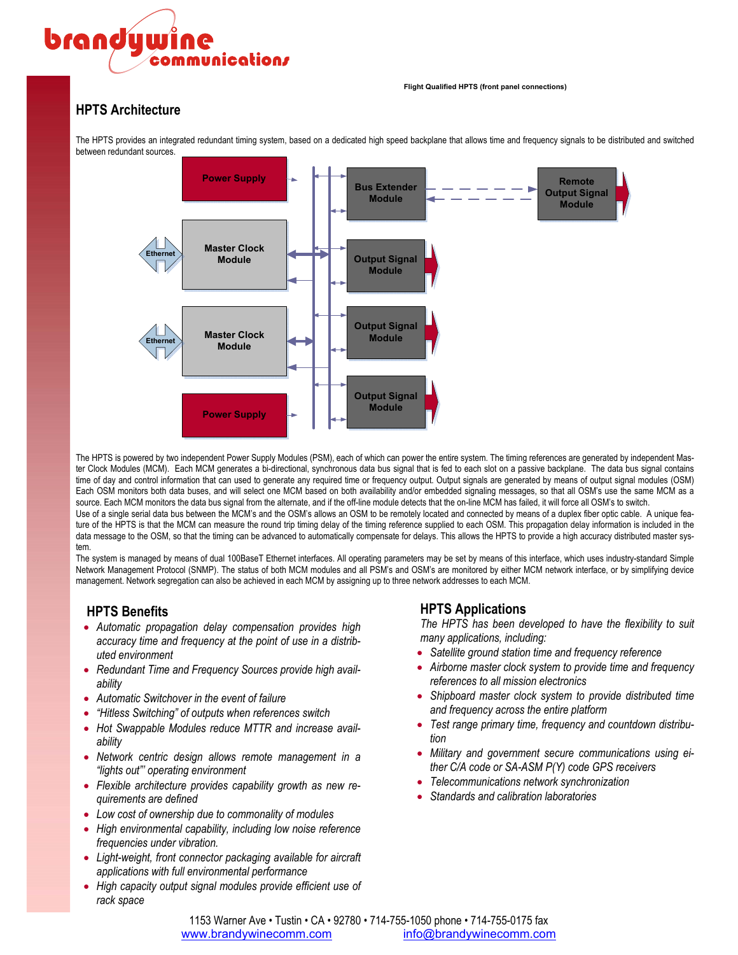# brandywine nmunication*r*

#### **Flight Qualified HPTS (front panel connections)**

# **HPTS Architecture**

**Master Clock Module Power Supply Master Clock Module Power Supply Ethernet Ethernet Output Signal Module Bus Extender Module Output Signal Module Output Signal Module Remote Output Signal Module**

The HPTS provides an integrated redundant timing system, based on a dedicated high speed backplane that allows time and frequency signals to be distributed and switched between redundant sources.

The HPTS is powered by two independent Power Supply Modules (PSM), each of which can power the entire system. The timing references are generated by independent Master Clock Modules (MCM). Each MCM generates a bi-directional, synchronous data bus signal that is fed to each slot on a passive backplane. The data bus signal contains time of day and control information that can used to generate any required time or frequency output. Output signals are generated by means of output signal modules (OSM) Each OSM monitors both data buses, and will select one MCM based on both availability and/or embedded signaling messages, so that all OSM's use the same MCM as a source. Each MCM monitors the data bus signal from the alternate, and if the off-line module detects that the on-line MCM has failed, it will force all OSM's to switch. Use of a single serial data bus between the MCM's and the OSM's allows an OSM to be remotely located and connected by means of a duplex fiber optic cable. A unique feature of the HPTS is that the MCM can measure the round trip timing delay of the timing reference supplied to each OSM. This propagation delay information is included in the data message to the OSM, so that the timing can be advanced to automatically compensate for delays. This allows the HPTS to provide a high accuracy distributed master sys-

tem. The system is managed by means of dual 100BaseT Ethernet interfaces. All operating parameters may be set by means of this interface, which uses industry-standard Simple Network Management Protocol (SNMP). The status of both MCM modules and all PSM's and OSM's are monitored by either MCM network interface, or by simplifying device management. Network segregation can also be achieved in each MCM by assigning up to three network addresses to each MCM.

# **HPTS Benefits**

- x *Automatic propagation delay compensation provides high accuracy time and frequency at the point of use in a distributed environment*
- Redundant Time and Frequency Sources provide high avail*ability*
- x *Automatic Switchover in the event of failure*
- x *"Hitless Switching" of outputs when references switch*
- Hot Swappable Modules reduce MTTR and increase avail*ability*
- x *Network centric design allows remote management in a "lights out"' operating environment*
- Flexible architecture provides capability growth as new re*quirements are defined*
- Low cost of ownership due to commonality of modules
- x *High environmental capability, including low noise reference frequencies under vibration.*
- x *Light-weight, front connector packaging available for aircraft applications with full environmental performance*
- x *High capacity output signal modules provide efficient use of rack space*

# **HPTS Applications**

*The HPTS has been developed to have the flexibility to suit many applications, including:* 

- Satellite ground station time and frequency reference
- Airborne master clock system to provide time and frequency *references to all mission electronics*
- **•** Shipboard master clock system to provide distributed time *and frequency across the entire platform*
- Test range primary time, frequency and countdown distribu*tion*
- Military and government secure communications using ei*ther C/A code or SA-ASM P(Y) code GPS receivers*
- x *Telecommunications network synchronization*
- x *Standards and calibration laboratories*

1153 Warner Ave • Tustin • CA • 92780 • 714-755-1050 phone • 714-755-0175 fax www.brandywinecomm.com info@brandywinecomm.com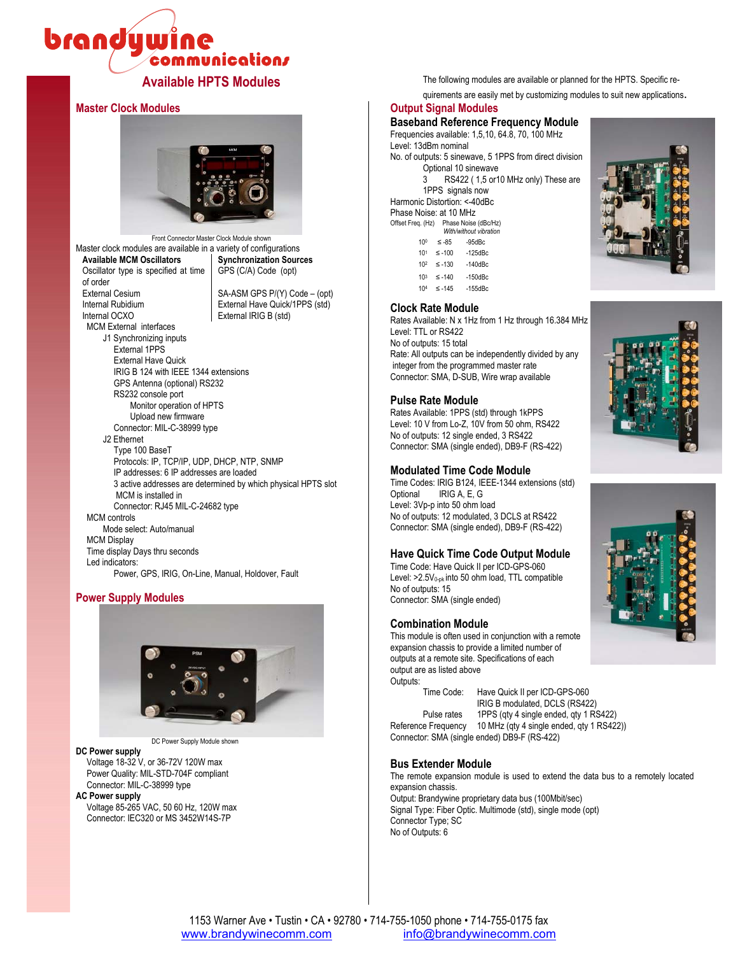# brandywine **communications**

# **Master Clock Modules**



Front Connector Master Clock Module shown Master clock modules are available in a variety of configurations<br>**Available MCM Oscillators** | Synchronization Soure **Synchronization Sources** Oscillator type is specified at time of order<br>External Cesium GPS (C/A) Code (opt) External Cesium SA-ASM GPS P/(Y) Code – (opt)<br>
Internal Rubidium External Have Quick/1PPS (std) External Have Quick/1PPS (std) Internal OCXO External IRIG B (std) MCM External interfaces J1 Synchronizing inputs External 1PPS External Have Quick IRIG B 124 with IEEE 1344 extensions GPS Antenna (optional) RS232 RS232 console port Monitor operation of HPTS Upload new firmware Connector: MIL-C-38999 type J2 Ethernet Type 100 BaseT Protocols: IP, TCP/IP, UDP, DHCP, NTP, SNMP IP addresses: 6 IP addresses are loaded 3 active addresses are determined by which physical HPTS slot MCM is installed in

Connector: RJ45 MIL-C-24682 type MCM controls Mode select: Auto/manual MCM Display Time display Days thru seconds Led indicators: Power, GPS, IRIG, On-Line, Manual, Holdover, Fault

# **Power Supply Modules**



DC Power Supply Module shown

### **DC Power supply**

 Voltage 18-32 V, or 36-72V 120W max Power Quality: MIL-STD-704F compliant Connector: MIL-C-38999 type

**AC Power supply** 

 Voltage 85-265 VAC, 50 60 Hz, 120W max Connector: IEC320 or MS 3452W14S-7P

**Available HPTS Modules** The following modules are available or planned for the HPTS. Specific re-

quirements are easily met by customizing modules to suit new applications.

# **Output Signal Modules**

**Baseband Reference Frequency Module** Frequencies available: 1,5,10, 64.8, 70, 100 MHz Level: 13dBm nominal No. of outputs: 5 sinewave, 5 1PPS from direct division Optional 10 sinewave 3 RS422 ( 1,5 or10 MHz only) These are 1PPS signals now

Harmonic Distortion: <-40dBc

| Phase Noise: at 10 MHz |                        |           |  |  |
|------------------------|------------------------|-----------|--|--|
| Offset Freq. (Hz)      | Phase Noise (dBc/Hz)   |           |  |  |
|                        | With/without vibration |           |  |  |
| 10 <sup>0</sup>        | $≤ -85$                | $-95d$ Bc |  |  |

| 10 <sup>1</sup> | $\leq -100$ | $-125$ d $Bc$ |
|-----------------|-------------|---------------|
| 102             | $\leq -130$ | $-140$ d $Bc$ |
| 103             | $\leq -140$ | $-150$ d $Bc$ |
| 104             | $\leq -145$ | $-155$ d $Bc$ |

### **Clock Rate Module**

Rates Available: N x 1Hz from 1 Hz through 16.384 MHz Level: TTL or RS422 No of outputs: 15 total Rate: All outputs can be independently divided by any integer from the programmed master rate Connector: SMA, D-SUB, Wire wrap available

### **Pulse Rate Module**

Rates Available: 1PPS (std) through 1kPPS Level: 10 V from Lo-Z, 10V from 50 ohm, RS422 No of outputs: 12 single ended, 3 RS422 Connector: SMA (single ended), DB9-F (RS-422)

### **Modulated Time Code Module**

Time Codes: IRIG B124, IEEE-1344 extensions (std) Optional IRIG A, E, G Level: 3Vp-p into 50 ohm load No of outputs: 12 modulated, 3 DCLS at RS422 Connector: SMA (single ended), DB9-F (RS-422)

# **Have Quick Time Code Output Module**

Time Code: Have Quick II per ICD-GPS-060 Level:  $>2.5V<sub>0-pk</sub>$  into 50 ohm load, TTL compatible No of outputs: 15 Connector: SMA (single ended)

### **Combination Module**

This module is often used in conjunction with a remote expansion chassis to provide a limited number of outputs at a remote site. Specifications of each output are as listed above Outputs:

 Time Code: Have Quick II per ICD-GPS-060 IRIG B modulated, DCLS (RS422) Pulse rates 1PPS (qty 4 single ended, qty 1 RS422) Reference Frequency 10 MHz (qty 4 single ended, qty 1 RS422))

Connector: SMA (single ended) DB9-F (RS-422)

### **Bus Extender Module**

The remote expansion module is used to extend the data bus to a remotely located expansion chassis.

Output: Brandywine proprietary data bus (100Mbit/sec) Signal Type: Fiber Optic. Multimode (std), single mode (opt) Connector Type; SC No of Outputs: 6